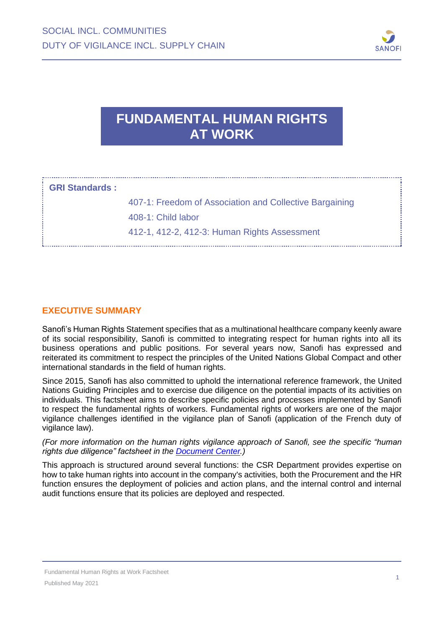

# **FUNDAMENTAL HUMAN RIGHTS AT WORK**

| : GRI Standards : |                                                         |
|-------------------|---------------------------------------------------------|
|                   | 407-1: Freedom of Association and Collective Bargaining |
|                   | 408-1: Child labor                                      |
|                   | 412-1, 412-2, 412-3: Human Rights Assessment            |

## **EXECUTIVE SUMMARY**

Sanofi's Human Rights Statement specifies that as a multinational healthcare company keenly aware of its social responsibility, Sanofi is committed to integrating respect for human rights into all its business operations and public positions. For several years now, Sanofi has expressed and reiterated its commitment to respect the principles of the United Nations Global Compact and other international standards in the field of human rights.

Since 2015, Sanofi has also committed to uphold the international reference framework, the United Nations Guiding Principles and to exercise due diligence on the potential impacts of its activities on individuals. This factsheet aims to describe specific policies and processes implemented by Sanofi to respect the fundamental rights of workers. Fundamental rights of workers are one of the major vigilance challenges identified in the vigilance plan of Sanofi (application of the French duty of vigilance law).

*(For more information on the human rights vigilance approach of Sanofi, see the specific "human rights due diligence" factsheet in the [Document Center.\)](http://en.sanofi.com/csr/download_center/download_center.aspx)*

This approach is structured around several functions: the CSR Department provides expertise on how to take human rights into account in the company's activities, both the Procurement and the HR function ensures the deployment of policies and action plans, and the internal control and internal audit functions ensure that its policies are deployed and respected.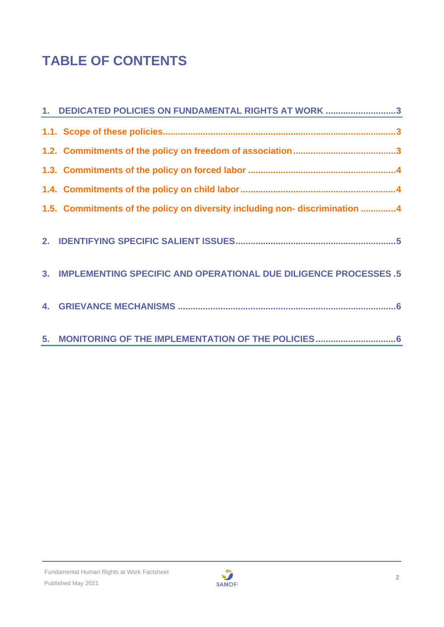# **TABLE OF CONTENTS**

| 1. DEDICATED POLICIES ON FUNDAMENTAL RIGHTS AT WORK 3                      |
|----------------------------------------------------------------------------|
|                                                                            |
|                                                                            |
|                                                                            |
|                                                                            |
| 1.5. Commitments of the policy on diversity including non-discrimination 4 |
|                                                                            |
| 3. IMPLEMENTING SPECIFIC AND OPERATIONAL DUE DILIGENCE PROCESSES .5        |
|                                                                            |
|                                                                            |

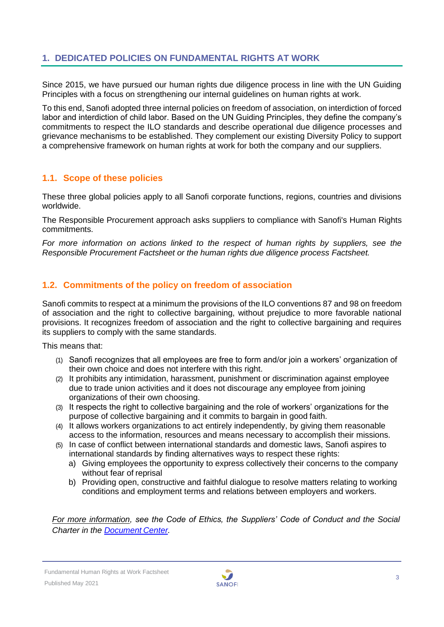# <span id="page-2-0"></span>**1. DEDICATED POLICIES ON FUNDAMENTAL RIGHTS AT WORK**

Since 2015, we have pursued our human rights due diligence process in line with the UN Guiding Principles with a focus on strengthening our internal guidelines on human rights at work.

To this end, Sanofi adopted three internal policies on freedom of association, on interdiction of forced labor and interdiction of child labor. Based on the UN Guiding Principles, they define the company's commitments to respect the ILO standards and describe operational due diligence processes and grievance mechanisms to be established. They complement our existing Diversity Policy to support a comprehensive framework on human rights at work for both the company and our suppliers.

## <span id="page-2-1"></span>**1.1. Scope of these policies**

These three global policies apply to all Sanofi corporate functions, regions, countries and divisions worldwide.

The Responsible Procurement approach asks suppliers to compliance with Sanofi's Human Rights commitments.

*For more information on actions linked to the respect of human rights by suppliers, see the Responsible Procurement Factsheet or the human rights due diligence process Factsheet.* 

## <span id="page-2-2"></span>**1.2. Commitments of the policy on freedom of association**

Sanofi commits to respect at a minimum the provisions of the ILO conventions 87 and 98 on freedom of association and the right to collective bargaining, without prejudice to more favorable national provisions. It recognizes freedom of association and the right to collective bargaining and requires its suppliers to comply with the same standards.

This means that:

- (1) Sanofi recognizes that all employees are free to form and/or join a workers' organization of their own choice and does not interfere with this right.
- (2) It prohibits any intimidation, harassment, punishment or discrimination against employee due to trade union activities and it does not discourage any employee from joining organizations of their own choosing.
- (3) It respects the right to collective bargaining and the role of workers' organizations for the purpose of collective bargaining and it commits to bargain in good faith.
- (4) It allows workers organizations to act entirely independently, by giving them reasonable access to the information, resources and means necessary to accomplish their missions.
- (5) In case of conflict between international standards and domestic laws, Sanofi aspires to international standards by finding alternatives ways to respect these rights:
	- a) Giving employees the opportunity to express collectively their concerns to the company without fear of reprisal
	- b) Providing open, constructive and faithful dialogue to resolve matters relating to working conditions and employment terms and relations between employers and workers.

*For more information, see the Code of Ethics, the Suppliers' Code of Conduct and the Social Charter in the [Document](http://en.sanofi.com/csr/download_center/download_center.aspx) Center.*

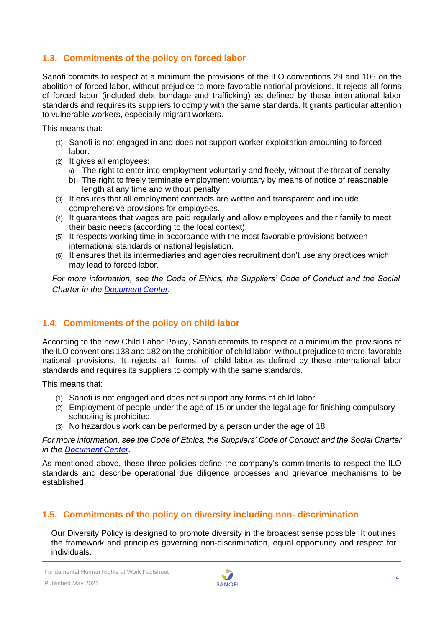# <span id="page-3-0"></span>**1.3. Commitments of the policy on forced labor**

Sanofi commits to respect at a minimum the provisions of the ILO conventions 29 and 105 on the abolition of forced labor, without prejudice to more favorable national provisions. It rejects all forms of forced labor (included debt bondage and trafficking) as defined by these international labor standards and requires its suppliers to comply with the same standards. It grants particular attention to vulnerable workers, especially migrant workers.

This means that:

- (1) Sanofi is not engaged in and does not support worker exploitation amounting to forced labor.
- (2) It gives all employees:
	- a) The right to enter into employment voluntarily and freely, without the threat of penalty
	- b) The right to freely terminate employment voluntary by means of notice of reasonable length at any time and without penalty
- (3) It ensures that all employment contracts are written and transparent and include comprehensive provisions for employees.
- (4) It guarantees that wages are paid regularly and allow employees and their family to meet their basic needs (according to the local context).
- (5) It respects working time in accordance with the most favorable provisions between international standards or national legislation.
- (6) It ensures that its intermediaries and agencies recruitment don't use any practices which may lead to forced labor.

*For more information, see the Code of Ethics, the Suppliers' Code of Conduct and the Social Charter in the [Document](http://en.sanofi.com/csr/download_center/download_center.aspx) Center.*

# <span id="page-3-1"></span>**1.4. Commitments of the policy on child labor**

According to the new Child Labor Policy, Sanofi commits to respect at a minimum the provisions of the ILO conventions 138 and 182 on the prohibition of child labor, without prejudice to more favorable national provisions. It rejects all forms of child labor as defined by these international labor standards and requires its suppliers to comply with the same standards.

This means that:

- (1) Sanofi is not engaged and does not support any forms of child labor.
- (2) Employment of people under the age of 15 or under the legal age for finishing compulsory schooling is prohibited.
- (3) No hazardous work can be performed by a person under the age of 18.

*For more information, see the Code of Ethics, the Suppliers' Code of Conduct and the Social Charter in the [Document](http://en.sanofi.com/csr/download_center/download_center.aspx) Center.*

As mentioned above, these three policies define the company's commitments to respect the ILO standards and describe operational due diligence processes and grievance mechanisms to be established.

## <span id="page-3-2"></span>**1.5. Commitments of the policy on diversity including non- discrimination**

Our Diversity Policy is designed to promote diversity in the broadest sense possible. It outlines the framework and principles governing non-discrimination, equal opportunity and respect for individuals.

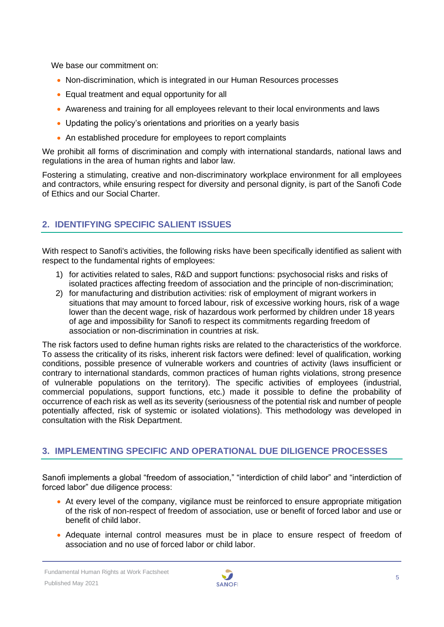We base our commitment on:

- Non-discrimination, which is integrated in our Human Resources processes
- Equal treatment and equal opportunity for all
- Awareness and training for all employees relevant to their local environments and laws
- Updating the policy's orientations and priorities on a yearly basis
- An established procedure for employees to report complaints

We prohibit all forms of discrimination and comply with international standards, national laws and regulations in the area of human rights and labor law.

Fostering a stimulating, creative and non-discriminatory workplace environment for all employees and contractors, while ensuring respect for diversity and personal dignity, is part of the Sanofi Code of Ethics and our Social Charter.

# <span id="page-4-0"></span>**2. IDENTIFYING SPECIFIC SALIENT ISSUES**

With respect to Sanofi's activities, the following risks have been specifically identified as salient with respect to the fundamental rights of employees:

- 1) for activities related to sales, R&D and support functions: psychosocial risks and risks of isolated practices affecting freedom of association and the principle of non-discrimination;
- 2) for manufacturing and distribution activities: risk of employment of migrant workers in situations that may amount to forced labour, risk of excessive working hours, risk of a wage lower than the decent wage, risk of hazardous work performed by children under 18 years of age and impossibility for Sanofi to respect its commitments regarding freedom of association or non-discrimination in countries at risk.

The risk factors used to define human rights risks are related to the characteristics of the workforce. To assess the criticality of its risks, inherent risk factors were defined: level of qualification, working conditions, possible presence of vulnerable workers and countries of activity (laws insufficient or contrary to international standards, common practices of human rights violations, strong presence of vulnerable populations on the territory). The specific activities of employees (industrial, commercial populations, support functions, etc.) made it possible to define the probability of occurrence of each risk as well as its severity (seriousness of the potential risk and number of people potentially affected, risk of systemic or isolated violations). This methodology was developed in consultation with the Risk Department.

## <span id="page-4-1"></span>**3. IMPLEMENTING SPECIFIC AND OPERATIONAL DUE DILIGENCE PROCESSES**

Sanofi implements a global "freedom of association," "interdiction of child labor" and "interdiction of forced labor" due diligence process:

- At every level of the company, vigilance must be reinforced to ensure appropriate mitigation of the risk of non-respect of freedom of association, use or benefit of forced labor and use or benefit of child labor.
- Adequate internal control measures must be in place to ensure respect of freedom of association and no use of forced labor or child labor.

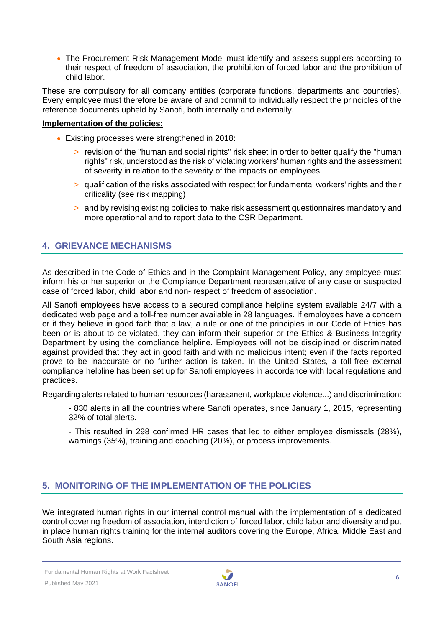• The Procurement Risk Management Model must identify and assess suppliers according to their respect of freedom of association, the prohibition of forced labor and the prohibition of child labor.

These are compulsory for all company entities (corporate functions, departments and countries). Every employee must therefore be aware of and commit to individually respect the principles of the reference documents upheld by Sanofi, both internally and externally.

#### **Implementation of the policies:**

- Existing processes were strengthened in 2018:
	- > revision of the "human and social rights" risk sheet in order to better qualify the "human rights" risk, understood as the risk of violating workers' human rights and the assessment of severity in relation to the severity of the impacts on employees;
	- > qualification of the risks associated with respect for fundamental workers' rights and their criticality (see risk mapping)
	- > and by revising existing policies to make risk assessment questionnaires mandatory and more operational and to report data to the CSR Department.

## <span id="page-5-0"></span>**4. GRIEVANCE MECHANISMS**

As described in the Code of Ethics and in the Complaint Management Policy, any employee must inform his or her superior or the Compliance Department representative of any case or suspected case of forced labor, child labor and non- respect of freedom of association.

All Sanofi employees have access to a secured compliance helpline system available 24/7 with a dedicated web page and a toll-free number available in 28 languages. If employees have a concern or if they believe in good faith that a law, a rule or one of the principles in our [Code of Ethics](http://en.sanofi.com/csr/ethics/code_of_ethics.aspx) has been or is about to be violated, they can inform their superior or the Ethics & Business Integrity Department by using the [compliance helpline.](http://mysanofi.sanofi.com/sites/Global-Compliance/Pages/1kosJS3N/Contact_EN.aspx) Employees will not be disciplined or discriminated against provided that they act in good faith and with no malicious intent; even if the facts reported prove to be inaccurate or no further action is taken. In the United States, a toll-free external compliance helpline has been set up for Sanofi employees in accordance with local regulations and practices.

Regarding alerts related to human resources (harassment, workplace violence...) and discrimination:

- 830 alerts in all the countries where Sanofi operates, since January 1, 2015, representing 32% of total alerts.
- This resulted in 298 confirmed HR cases that led to either employee dismissals (28%), warnings (35%), training and coaching (20%), or process improvements.

# <span id="page-5-1"></span>**5. MONITORING OF THE IMPLEMENTATION OF THE POLICIES**

We integrated human rights in our internal control manual with the implementation of a dedicated control covering freedom of association, interdiction of forced labor, child labor and diversity and put in place human rights training for the internal auditors covering the Europe, Africa, Middle East and South Asia regions.